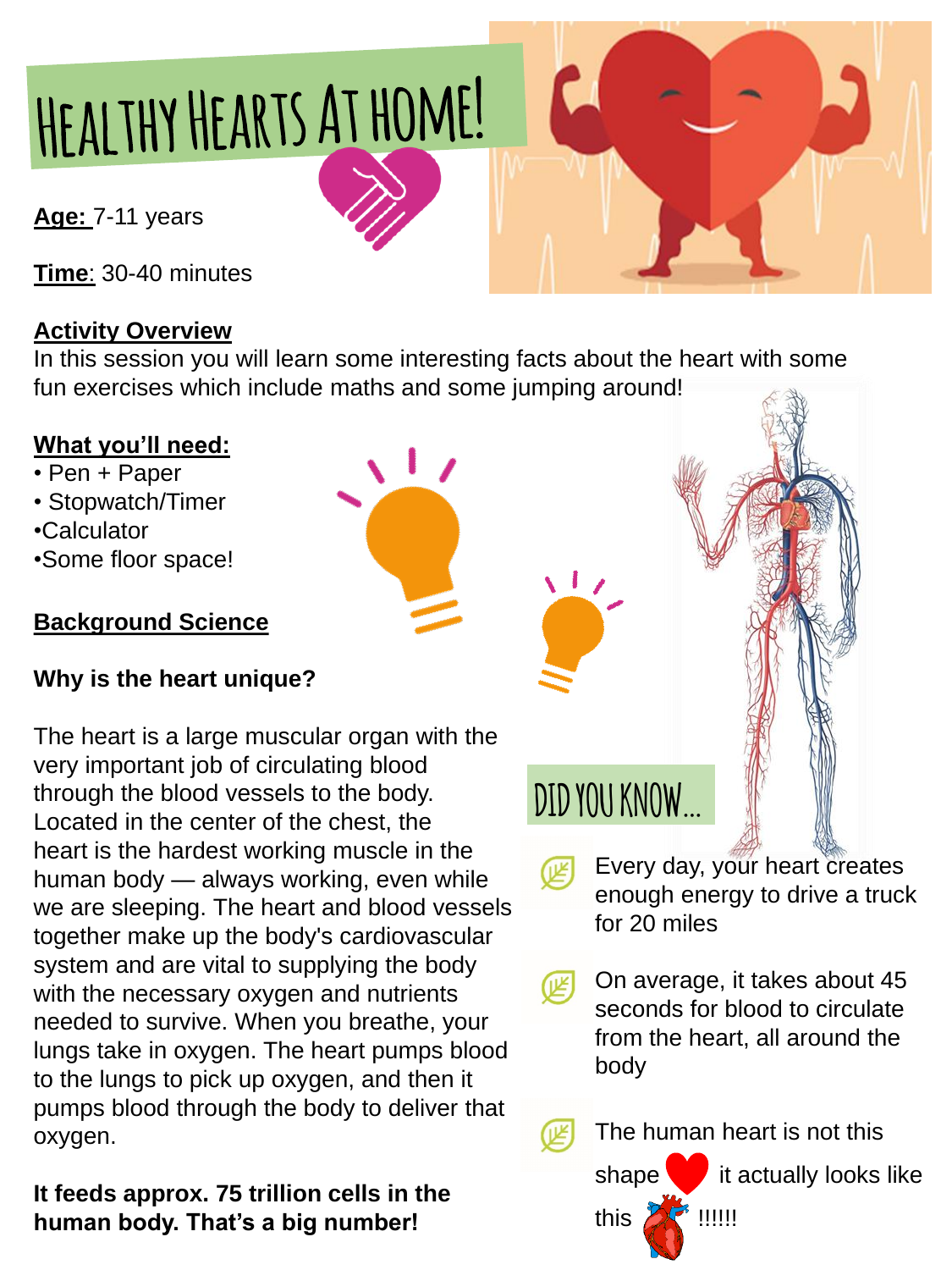# HEALTHY HEARTS AT HOME!

**Age:** 7-11 years

**Time**: 30-40 minutes

#### **Activity Overview**

In this session you will learn some interesting facts about the heart with some fun exercises which include maths and some jumping around!

#### **What you'll need:**

- Pen + Paper
- Stopwatch/Timer
- •Calculator
- •Some floor space!

#### **Background Science**

#### **Why is the heart unique?**

The heart is a large muscular organ with the very important job of circulating blood through the blood vessels to the body. Located in the center of the chest, the heart is the hardest working muscle in the human body — always working, even while we are sleeping. The heart and blood vessels together make up the body's cardiovascular system and are vital to supplying the body with the necessary oxygen and nutrients needed to survive. When you breathe, your lungs take in oxygen. The heart pumps blood to the lungs to pick up oxygen, and then it pumps blood through the body to deliver that oxygen.

**It feeds approx. 75 trillion cells in the human body. That's a big number!**

enough energy to drive a truck for 20 miles

On average, it takes about 45 seconds for blood to circulate from the heart, all around the body



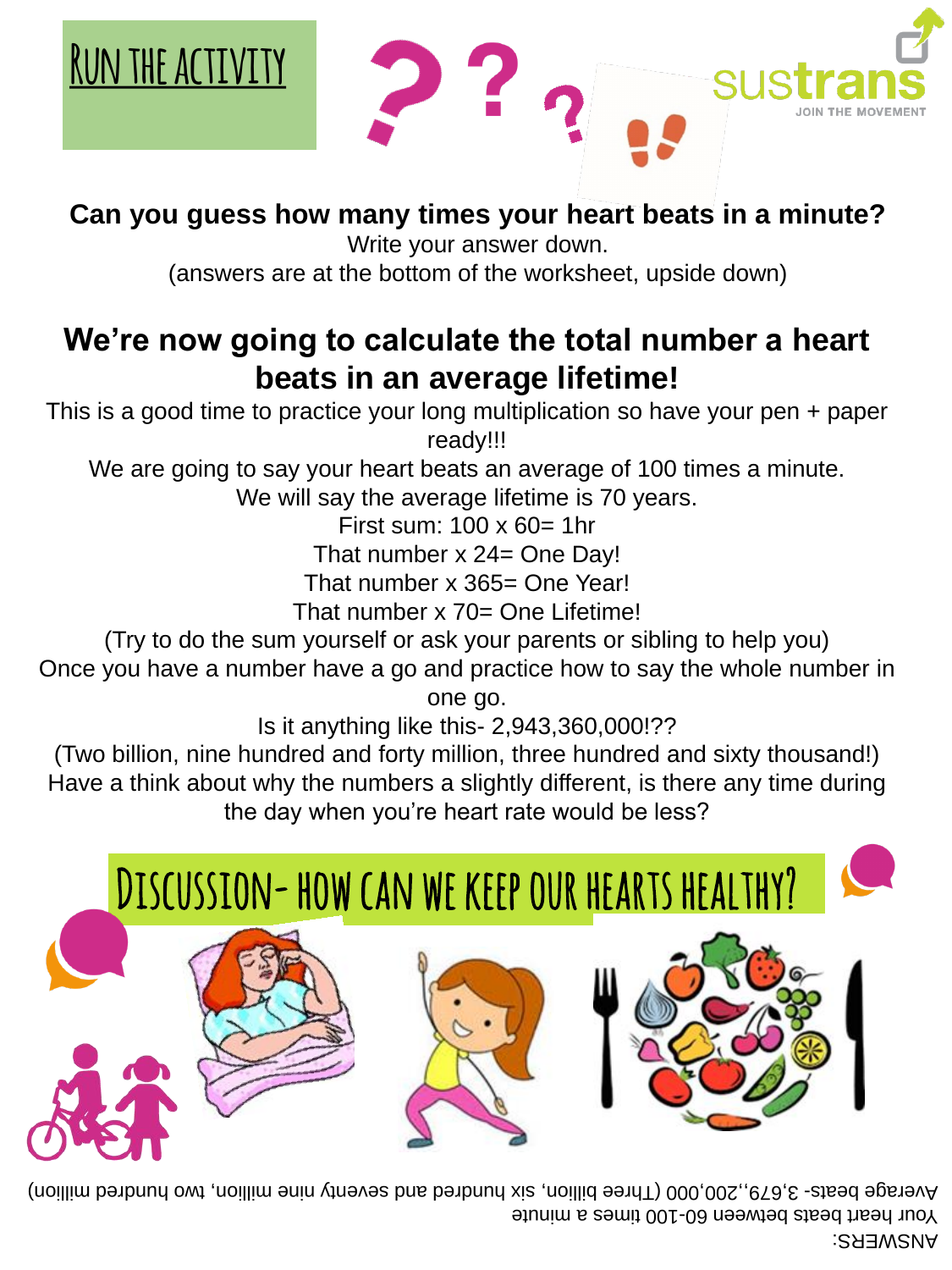

### **We're now going to calculate the total number a heart beats in an average lifetime!**

This is a good time to practice your long multiplication so have your pen + paper ready!!!

We are going to say your heart beats an average of 100 times a minute.

We will say the average lifetime is 70 years.

First sum: 100 x 60= 1hr

That number x 24= One Day!

That number x 365= One Year!

That number x 70= One Lifetime!

(Try to do the sum yourself or ask your parents or sibling to help you)

Once you have a number have a go and practice how to say the whole number in

one go.

Is it anything like this- 2,943,360,000!??

(Two billion, nine hundred and forty million, three hundred and sixty thousand!) Have a think about why the numbers a slightly different, is there any time during the day when you're heart rate would be less?

#### **Can you guess how many times your heart beats in a minute?**

Write your answer down.

(answers are at the bottom of the worksheet, upside down)

#### ANSWERS:

Your heart beats between 60-100 times a minute

Average beats- 3,679,,000,000 (Three billion, six noibred and seventy nine million, two hundred million)



## Discussion-how can we keep our hearts healthy?